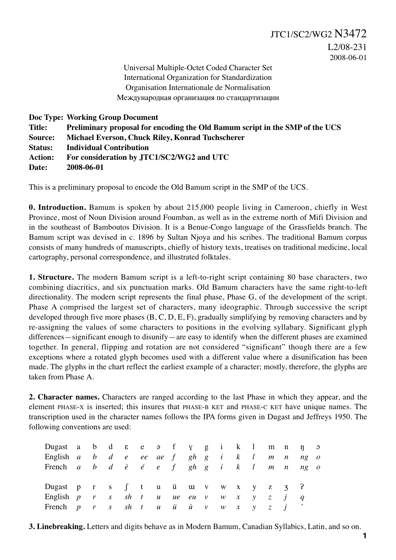Universal Multiple-Octet Coded Character Set International Organization for Standardization Organisation Internationale de Normalisation Международная организация по стандартизации

**Doc Type: Working Group Document Title: Preliminary proposal for encoding the Old Bamum script in the SMP of the UCS Source: Michael Everson, Chuck Riley, Konrad Tuchscherer Status: Individual Contribution Action: For consideration by JTC1/SC2/WG2 and UTC Date: 2008-06-01**

This is a preliminary proposal to encode the Old Bamum script in the SMP of the UCS.

**0. Introduction.** Bamum is spoken by about 215,000 people living in Cameroon, chiefly in West Province, most of Noun Division around Foumban, as well as in the extreme north of Mifi Division and in the southeast of Bamboutos Division. It is a Benue-Congo language of the Grassfields branch. The Bamum script was devised in c. 1896 by Sultan Njoya and his scribes. The traditional Bamum corpus consists of many hundreds of manuscripts, chiefly of history texts, treatises on traditional medicine, local cartography, personal correspondence, and illustrated folktales.

**1. Structure.** The modern Bamum script is a left-to-right script containing 80 base characters, two combining diacritics, and six punctuation marks. Old Bamum characters have the same right-to-left directionality. The modern script represents the final phase, Phase G, of the development of the script. Phase A comprised the largest set of characters, many ideographic. Through successive the script developed through five more phases (B, C, D, E, F), gradually simplifying by removing characters and by re-assigning the values of some characters to positions in the evolving syllabary. Significant glyph differences—significant enough to disunify—are easy to identify when the different phases are examined together. In general, flipping and rotation are not considered "significant" though there are a few exceptions where a rotated glyph becomes used with a different value where a disunification has been made. The glyphs in the chart reflect the earliest example of a character; mostly, therefore, the glyphs are taken from Phase A.

**2. Character names.** Characters are ranged according to the last Phase in which they appear, and the element PHASE-X is inserted; this insures that PHASE-B KET and PHASE-C KET have unique names. The transcription used in the character names follows the IPA forms given in Dugast and Jeffreys 1950. The following conventions are used:

| Dugast a b d $\varepsilon$ e $\varphi$ f $\gamma$ g i k l m n $\eta$ $\varphi$                                                          |  |  |  |  |  |  |  |  |
|-----------------------------------------------------------------------------------------------------------------------------------------|--|--|--|--|--|--|--|--|
| English $a \quad b \quad d \quad e \quad ee \quad ae \quad f \quad gh \quad g \quad i \quad k \quad l \quad m \quad n \quad ng \quad o$ |  |  |  |  |  |  |  |  |
| French $a$ $b$ $d$ $\dot{e}$ $\dot{e}$ $e$ $f$ $gh$ $g$ $i$ $k$ $l$ $m$ $n$ $ng$ $o$                                                    |  |  |  |  |  |  |  |  |
| Dugast p r s $\int$ t u ü u v w x y z z $\frac{1}{3}$ ?                                                                                 |  |  |  |  |  |  |  |  |
| English $p \, r \, s \, sh \, t \, u \, ue \, eu \, v \, w \, x \, y \, z \, j \, q$                                                    |  |  |  |  |  |  |  |  |
| French $p \,$ r $s \,$ sh $t \,$ u $\ddot{u} \,$ $\ddot{u} \,$ $\ddot{v} \,$ $\cdots \,$ $w \,$ $x \,$ $y \,$ $z \,$ $j \,$             |  |  |  |  |  |  |  |  |

**3. Linebreaking.** Letters and digits behave as in Modern Bamum, Canadian Syllabics, Latin, and so on.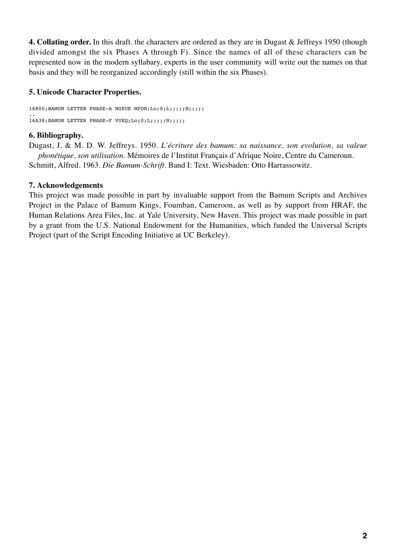**4. Collating order.** In this draft. the characters are ordered as they are in Dugast & Jeffreys 1950 (though divided amongst the six Phases A through F). Since the names of all of these characters can be represented now in the modern syllabary, experts in the user community will write out the names on that basis and they will be reorganized accordingly (still within the six Phases).

# **5. Unicode Character Properties.**

16800;BAMUM LETTER PHASE-A NGKUE MFON;Lo;0;L;;;;;N;;;;; .. 16A38;BAMUM LETTER PHASE-F VUEQ;Lo;0;L;;;;;;;;;;;;;

# **6. Bibliography.**

Dugast, J. & M. D. W. Jeffreys. 1950. *L'écriture des bamum: sa naissance, son evolution, sa valeur phonétique, son utilisation*. Mémoires de l'Institut Français d'Afrique Noire, Centre du Cameroun. Schmitt, Alfred. 1963. *Die Bamum-Schrift.* Band I: Text. Wiesbaden: Otto Harrassowitz.

# **7. Acknowledgements**

This project was made possible in part by invaluable support from the Bamum Scripts and Archives Project in the Palace of Bamum Kings, Foumban, Cameroon, as well as by support from HRAF, the Human Relations Area Files, Inc. at Yale University, New Haven. This project was made possible in part by a grant from the U.S. National Endowment for the Humanities, which funded the Universal Scripts Project (part of the Script Encoding Initiative at UC Berkeley).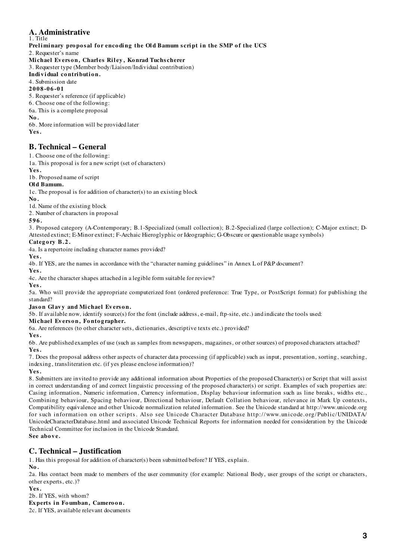#### **A. Administrative** 1. Title

Preliminary proposal for encoding the Old Bamum script in the SMP of the UCS

2. Requester's name

#### Michael Everson, Charles Riley, Konrad Tuchscherer

3. Requester type (Member body/Liaison/Individual contribution)

#### Individual contribution.

#### 4. Submission date

**2008-06-01**

5. Requester's reference (if applicable)

6. Choose one of the following:

6a. This is a complete proposal

**No.**

6b. More information will be provided later **Yes.**

# **B. Technical – General**

1. Choose one of the following:

1a. This proposal is for a new script (set of characters)

**Yes.**

1b. Proposed name of script

# **Ol d Bamum.**

1c. The proposal is for addition of character(s) to an existing block

**No.**

1d. Name of the existing block

2. Number of characters in proposal

#### **596.**

3. Proposed category (A-Contemporary; B.1-Specialized (small collection); B.2-Specialized (large collection); C-Major extinct; D-Attested extinct; E-Minor extinct; F-Archaic Hieroglyphic or Ideographic; G-Obscure or questionable usage symbols)

### Category B.2.

4a. Is a repertoire including character names provided?

**Yes.**

4b. If YES, are the names in accordance with the "character naming guidelines" in Annex L of P&P document? **Yes.**

4c. Are the character shapes attached in a legible form suitable for review?

**Yes.**

5a. Who will provide the appropriate computerized font (ordered preference: True Type, or PostScript format) for publishing the standard?

### Jason Glavy and Michael Everson.

5b. If available now, identify source(s) for the font (include address, e-mail, ftp-site, etc.) and indicate the tools used:

#### **Mi chael Ev ers o n, Fo nto g rapher.**

6a. Are references (to other character sets, dictionaries, descriptive texts etc.) provided?

**Yes.**

6b. Are published examples of use (such as samples from newspapers, magazines, or other sources) of proposed characters attached? **Yes.**

7. Does the proposal address other aspects of character data processing (if applicable) such as input, presentation, sorting, searching, indexing, transliteration etc. (if yes please enclose information)?

**Yes.**

8. Submitters are invited to provide any additional information about Properties of the proposed Character(s) or Script that will assist in correct understanding of and correct linguistic processing of the proposed character(s) or script. Examples of such properties are: Casing information, Numeric information, Currency information, Display behaviour information such as line breaks, widths etc., Combining behaviour, Spacing behaviour, Directional behaviour, Default Collation behaviour, relevance in Mark Up contexts, Compatibility equivalence and other Unicode normalization related information. See the Unicode standard at http://www.unicode.org for such information on other scripts. Also see Unicode Character Database http://www. unicode. org/Public/UNIDATA/ UnicodeCharacterDatabase.html and associated Unicode Technical Reports for information needed for consideration by the Unicode Technical Committee for inclusion in the Unicode Standard. **See above.**

# **C. Technical – Justification**

1. Has this proposal for addition of character(s) been submitted before? If YES, explain.

**No.**

2a. Has contact been made to members of the user community (for example: National Body, user groups of the script or characters, other experts, etc.)?

### **Yes.**

2b. If YES, with whom?

**Experts in Foumban, Cameroon.** 

2c. If YES, available relevant documents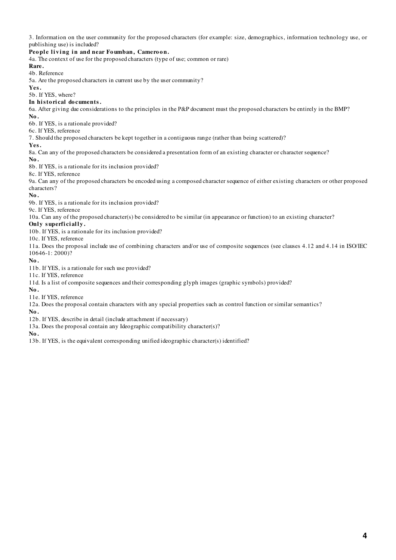3. Information on the user community for the proposed characters (for example: size, demographics, information technology use, or publishing use) is included?

#### People living in and near Foumban, Cameroon.

4a. The context of use for the proposed characters (type of use; common or rare)

#### **Rare.**

4b. Reference

5a. Are the proposed characters in current use by the user community?

**Yes.**

#### 5b. If YES, where?

#### In historical documents.

6a. After giving due considerations to the principles in the P&P document must the proposed characters be entirely in the BMP?

**No.**

6b. If YES, is a rationale provided?

### 6c. If YES, reference

7. Should the proposed characters be kept together in a contiguous range (rather than being scattered)?

**Yes.**

8a. Can any of the proposed characters be considered a presentation form of an existing character or character sequence?

#### **No.**

8b. If YES, is a rationale for its inclusion provided?

8c. If YES, reference

9a. Can any of the proposed characters be encoded using a composed character sequence of either existing characters or other proposed characters?

#### **No.**

9b. If YES, is a rationale for its inclusion provided?

### 9c. If YES, reference

10a. Can any of the proposed character(s) be considered to be similar (in appearance or function) to an existing character?

#### **Only superficially.**

10b. If YES, is a rationale for its inclusion provided?

10c. If YES, reference

11a. Does the proposal include use of combining characters and/or use of composite sequences (see clauses 4.12 and 4.14 in ISO/IEC 10646-1: 2000)?

#### **No.**

11b. If YES, is a rationale for such use provided?

#### 11c. If YES, reference

11d. Is a list of composite sequences and their corresponding glyph images (graphic symbols) provided?

**No.** 

11e. If YES, reference

12a. Does the proposal contain characters with any special properties such as control function or similar semantics?

**No.**

12b. If YES, describe in detail (include attachment if necessary)

13a. Does the proposal contain any Ideographic compatibility character(s)?

**No.**

13b. If YES, is the equivalent corresponding unified ideographic character(s) identified?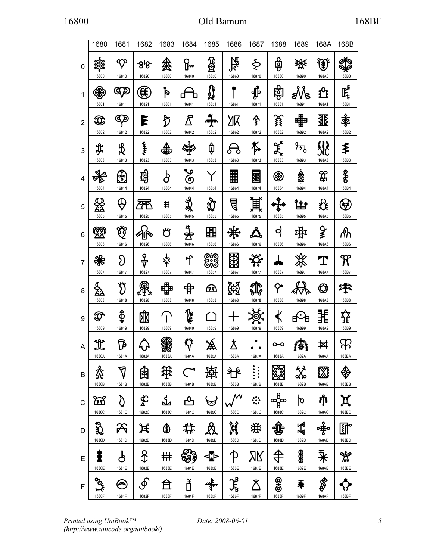|                | 1680                                                                                                                                                                          | 1681                                                                                                             | 1682                   | 1683                        | 1684                 | 1685                        | 1686                                                | 1687                           | 1688                                           | 1689                                           | 168A                        | 168B                      |
|----------------|-------------------------------------------------------------------------------------------------------------------------------------------------------------------------------|------------------------------------------------------------------------------------------------------------------|------------------------|-----------------------------|----------------------|-----------------------------|-----------------------------------------------------|--------------------------------|------------------------------------------------|------------------------------------------------|-----------------------------|---------------------------|
| 0              | 16800                                                                                                                                                                         | $\bm{\sigma}$<br>16810                                                                                           | -818<br>16820          | 絫<br>16830                  | ℞୷<br>16840          | ලි<br>16850                 | 飞<br>R<br>16860                                     | Ş<br>16870                     | မြှ<br>16880                                   | 珱<br>16890                                     | 金<br>168A0                  | 168B0                     |
| 1              | €<br>16801                                                                                                                                                                    | αp<br>16811                                                                                                      | $\mathbf{f}$<br>16821  | p<br>16831                  | 16841                | <b>}}</b><br>2<br>16851     | 16861                                               | $\mathbf{\hat{\Phi}}$<br>16871 | <b>de:1</b><br>16881                           | 16891                                          | $\mathbf{P}$<br>168A1       | 匡<br>168B1                |
| $\overline{2}$ | $\mathfrak{D}% _{A_{1},A_{2}}^{(n)}(\theta)=\left( \begin{array}{cc} 1 & \mathbf{1}\\ \mathbf{1} & \mathbf{1}\\ \mathbf{1} & \mathbf{1}\end{array}\right) ^{\prime}$<br>16802 | ŒΣ<br>16812                                                                                                      | Ε<br>16822             | ℌ<br>16832                  | ∕₹<br>16842          | 빡<br><u>uu juv</u><br>16852 | 16862                                               | 全<br>16872                     | 銭<br>16882                                     | ▦<br>16892                                     | 坙<br>168A2                  | ≹<br>168B2                |
| 3              | \$.<br>16803                                                                                                                                                                  | $\frac{1}{2}$<br>16813                                                                                           | Ĭ<br>16823             | Δ<br>ଥିତ<br>16833           | लैल<br>16843         | ₲<br>16853                  | 16863                                               | 科<br>16873                     | र्कू $\frac{\alpha^{\prime}}{\alpha}$<br>16883 | $\frac{1}{2}$<br>16893                         | <b>SR</b><br>168A3          | ≸<br>168B3                |
| 4              | 16804                                                                                                                                                                         | $\mathbb{E}$<br>16814                                                                                            | 聁<br>16824             | $\pmb{\varphi}$<br>16834    | Ļρ<br>ග<br>16844     | 16854                       | 壨<br>16864                                          | 骃<br>16874                     | ⊛<br>16884                                     | 鑫<br>16894                                     | <b>R</b><br>168A4           | န္မွ<br>168B4             |
| 5              | 16805                                                                                                                                                                         | \$<br>16815                                                                                                      | 16825                  | ♯<br>16835                  | 头头<br>16845          | 16855                       | ₫<br>16865                                          | 鬨<br>16875                     | ****<br>16885                                  | $\bullet$<br>16895                             | お<br>168A5                  | $\blacklozenge$<br>168B5  |
| 6              | 您<br>16806                                                                                                                                                                    | у.<br>К<br>16816                                                                                                 | Ö<br>16826             | ざ<br>16836                  | 4<br>16846           | 里<br>16856                  | 16866                                               | 16876                          | අ<br>16886                                     | ₩<br>16896                                     | ¥<br>168A6                  | ለነ<br>168B6               |
| 7              | ₩<br>16807                                                                                                                                                                    | $\mathfrak{D}% _{T}=\mathfrak{D}_{T}\!\left( a,b\right) ,\ \mathfrak{D}_{T}=C_{T}\!\left( a,b\right) ,$<br>16817 | ╬<br>16827             | $\frac{1}{\gamma}$<br>16837 | T<br>16847           | ಲ್ಪಾ<br>ಅವಿ<br>16857        | RE<br>16867                                         | 16877                          | 16887                                          | **<br>16897                                    | 168A7                       | ${\mathfrak{R}}$<br>168B7 |
| 8              | g<br>23<br>16808                                                                                                                                                              | งั<br>16818                                                                                                      | 16828                  | <b>HLH</b><br>16838         | $\bigoplus$<br>16848 | <u>(प्रेष</u><br>16858      | $\left(\!\!\left.\phi\!\right)\!\!\right)$<br>16868 | 16878                          | Ÿ<br>16888                                     | 16898                                          | $\pmb{\mathbb{Q}}$<br>168A8 | <b>STARS</b><br>168B8     |
| 9              | T<br>16809                                                                                                                                                                    | \$<br>16819                                                                                                      | 16829                  | 16839                       | 1<br>16849           | 16859                       | 16869                                               | 16879                          | 16889                                          | $\bullet$<br>16899                             | 168A9                       | 168B9                     |
| A              | <u> H</u><br>1680A                                                                                                                                                            | Ъ<br>1681A                                                                                                       | 1682A                  | 1683A                       | ざん<br>1684A          | 凃<br>1685A                  | Å<br>1686A                                          | ۰<br>1687A                     | 1688A                                          | ю.<br>1689A                                    | 囡<br>168AA                  | 168BA                     |
| B              | ⋩<br>1680B                                                                                                                                                                    | 7<br>1681B                                                                                                       | 圉<br>1682B             | 発<br>1683B                  | $\subset$<br>1684B   | 1685B                       | S<br>1686B                                          | $\vdots$<br>1687B              | प्रदेश<br>पुरुष<br>1688B                       | $\stackrel{\leftrightarrow}{\propto}$<br>1689B | ▒<br>168AB                  | 168BB                     |
| $\mathbf C$    | <u>ନ୍ଦୁ</u><br>1680C                                                                                                                                                          | D<br>1681C                                                                                                       | ≴<br>1682C             | সৃ<br>1683C                 | 凸<br>1684C           | ভ<br>1685C                  | М<br>1686C                                          | ░<br>1687C                     | န္တစ္တာ<br>1688C                               | গ<br>1689C                                     | ≸[ै<br>168AC                | Д<br>168BC                |
| D              | E<br>1680D                                                                                                                                                                    | Ѫ<br>1681D                                                                                                       | ヸ<br>1682D             | ◑<br>1683D                  | 1684D                | ℛ<br>1685D                  | Ж<br>1686D                                          | 栄<br>1687D                     | 奙<br>1688D                                     | 看<br>1689D                                     | 168AD                       | 郎<br>168BD                |
| E              | ł<br>1680E                                                                                                                                                                    | ௹<br>1681E                                                                                                       | $\mathcal{X}$<br>1682E | 卄<br>1683E                  | ట్ట్రీ<br>1684E      | ≮⊁<br>1685E                 | $\uparrow$<br>1686E                                 | ЯK<br>1687E                    | 1688E                                          | $\frac{1}{2}$<br>1689E                         | 亲<br>168AE                  | ₩<br>168BE                |
| F              | ್ಡಾ<br>1680F                                                                                                                                                                  | A)<br>1681F                                                                                                      | ௺<br>1682F             | 1683F                       | ť<br>1684F           | 嵰<br>1685F                  | 扂<br>1686F                                          | 术<br>1687F                     | <u>ඉ</u><br>1688F                              | ∓<br>1689F                                     | ₿<br>168AF                  | 168BF                     |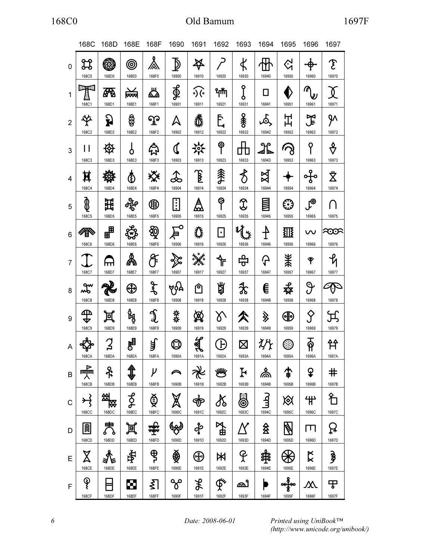|                | 168C                              | 168D              | 168E             | 168F                             | 1690                           | 1691                            | 1692                          | 1693                    | 1694                    | 1695                   | 1696                                 | 1697                               |
|----------------|-----------------------------------|-------------------|------------------|----------------------------------|--------------------------------|---------------------------------|-------------------------------|-------------------------|-------------------------|------------------------|--------------------------------------|------------------------------------|
| 0              | 窝<br>168C0                        | <b>R</b><br>168D0 | ◎<br>168E0       | ふ<br>168F0                       | ₫<br>16900                     | $\cancel{\ast}$<br>16910        | 16920                         | $\pmb{\nabla}$<br>16930 | 16940                   | $\Im$<br>16950         | 16960                                | $\mathfrak F$<br>16970             |
| 1              | 医血<br>168C1                       | 8<br>168D1        | ≹<br>168E1       | ♨<br>168F1                       | ∯<br>16901                     | $\mathcal{S}(\cdot)$<br>16911   | ᡩ᠇ᡟᢅᡙ<br>16921                | ႞<br>16931              | П<br>16941              | Ê<br>16951             | ⋒<br>⋓<br>16961                      | 16971                              |
| $\overline{2}$ | が<br>168C2                        | ှု<br>168D2       | ෂ්<br>168E2      | ၺႍ<br>168F2                      | Δ<br>16902                     | 悲<br>16912                      | Ē.<br>16922                   | <b>冬</b><br>16932       | $\mathfrak{S}$<br>16942 | 出<br>16952             | 了<br>司<br>16962                      | ሦ<br>16972                         |
| 3              | 168C3                             | ₩<br>168D3        | Ο<br>168E3       | 8<br>168F3                       | J<br>16903                     | ゾイ<br>16913                     | ⊕<br>16923                    | 16933                   | 16943                   | 16953                  | ႙<br>16963                           | ᢤ<br>16973                         |
| 4              | Ħ<br>168C4                        | 168D4             | め<br>168E4       | ఘ<br>168F4                       | 16904                          | $\mathbf{\widehat{E}}$<br>16914 | 淾<br>16924                    | $\delta$<br>16934       | $\boxtimes$<br>16944    | 16954                  | ᡩᡃ<br>16964                          | $\breve{\mathbf{\Sigma}}$<br>16974 |
| 5              | ≬<br>168C5                        | 斑<br>168D5        | க்<br>168E5      | ❀<br>168F5                       | $\vdots$<br>16905              | Å<br>16915                      | φ<br>16925                    | 16935                   | mm<br>16945             | €Э<br>16955            | $\mathsf{L}^\mathsf{\odot}$<br>16965 | 16975                              |
| 6              | <del>≪</del><br>目<br><b>168C6</b> | ੶<br>168D6        | ఞ<br>168E6       | ∯<br>168F6                       | O<br>16906                     | 焱<br>16916                      | $\bullet$<br>16926            | 16936                   | $\frac{1}{1}$<br>16946  | 羾<br>16956             | w<br>16966                           | න්<br>16976                        |
| $\overline{7}$ | 168C7                             | m<br>168D7        | Å<br>168E7       | Æ<br>168F7                       | 16907                          | $\mathbf{r}^{\circ}$<br>16917   | ╬<br>16927                    | சி<br>16937             | ᠲ<br>16947              | Ж<br>16957             | Ÿ<br>16967                           | 16977                              |
| 8              | $x^{\ast}$<br><b>168C8</b>        | 168D8             | ⊕<br>168E8       | ع<br>ح<br>168F8                  | 965<br>16908                   | ণি<br>16918                     | 鼑<br>16928                    | ≵<br>16938              | €<br>16948              | 癷<br>16958             | $\vartheta$<br>16968                 | 16978                              |
| 9              | ጨ<br><b>168C9</b>                 | 回<br>168D9        | g<br>Pa<br>168E9 | رهمنگ<br>168F9                   | 菜<br>16909                     | ⅏<br>16919                      | δ<br>16929                    | 16939                   | <b>》</b><br>16949       | $\bigoplus$<br>16959   | $\varsigma$<br>16969                 | 16979                              |
| A              | 168CA                             | 2<br>168DA        | 陶<br>168EA       | त्रै<br>168FA                    | $\mathbb Q$<br>1690A           | 1691A                           | $\mathbf{F}$<br>1692A         | $\boxtimes$<br>1693A    | 1694A                   | ᡦ<br>1695A             | <u>යි</u><br>1696A                   | 1697A                              |
| B              | 嚎<br>168CB                        | <u>ቶ</u><br>168DB | \$<br>168EB      | $\mu$<br>168FB                   | $\curvearrowright$<br>1690B    | ℀<br>1691B                      | 灣<br>1692B                    | $\mathcal{F}$<br>1693B  | ዹ்<br>1694B             | 个<br>1695B             | ¥<br>1696B                           | $\bm{\texttt{+}}$<br>1697B         |
| $\mathbf C$    | $\rightarrow$<br><b>168CC</b>     | 紭<br>贤<br>168DC   | $\beta$<br>168EC | Ф.<br>168FC                      | $\cancel{\mathbb{X}}$<br>1690C | $\dot{\Phi}$<br>1691C           | X<br>1692C                    | 8<br>1693C              | رطسا<br>1694C           | 必<br>1695C             | 艹<br>1696C                           | 彳<br>1697C                         |
| D              | $\boxed{\text{min}}$<br>168CD     | 昺<br>168DD        | 眞<br>168ED       | <del>जी</del> ले<br>जून<br>168FD | 1690D                          | අ්<br>1691D                     | 了<br>全<br>1692D               | 1693D                   | 会<br>1694D              | $\mathbb{Z}$<br>1695D  | $\Box$<br>1696D                      | R<br>1697D                         |
| $\mathsf E$    | $\boxtimes$<br>168CE              | 168DE             | 电<br>168EE       | $\mathbf{\hat{\theta}}$<br>168FE | ∰<br>1690E                     | ⊕<br>1691E                      | Ж<br>1692E                    | P<br>1693E              | 劵<br>1694E              | 1695E                  | $\boldsymbol{\mathsf{K}}$<br>1696E   | ؋<br>1697E                         |
| $\mathsf{F}$   | $\hat{\mathcal{S}}$<br>168CF      | 168DF             | Ø<br>168EF       | ℥<br>168FF                       | ჯ<br>1690F                     | $\mathcal{R}$<br>1691F          | $\oint_{\mathbf{R}}$<br>1692F | ക്രീ<br>1693F           | 1694F                   | $\frac{2}{3}$<br>1695F | $\bm{\mathcal{N}}$<br>1696F          | ᠊ᡒ<br>1697F                        |

Printed using UniBook™ (http://www.unicode.org/unibook/)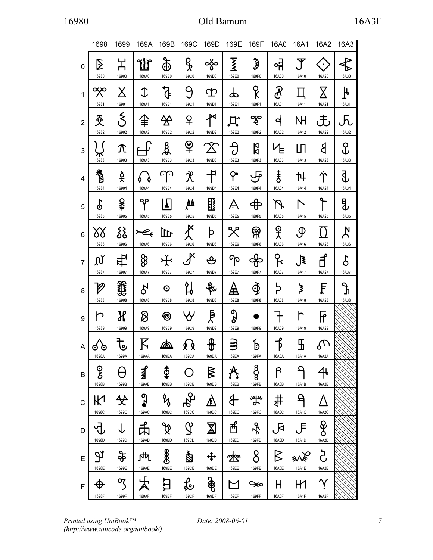|                | 1698                                                                                                                                                                     | 1699                        | 169A                              | 169B                               | 169C                             | 169D                      | 169E                | 169F                            | 16A0                         | 16A1                        | 16A2                             | 16A3                             |
|----------------|--------------------------------------------------------------------------------------------------------------------------------------------------------------------------|-----------------------------|-----------------------------------|------------------------------------|----------------------------------|---------------------------|---------------------|---------------------------------|------------------------------|-----------------------------|----------------------------------|----------------------------------|
| $\mathbf{0}$   | Σ<br>16980                                                                                                                                                               | 노<br>16990                  | 山<br>169A0                        | $\mathfrak{F}$<br>169B0            | ႖ၟ<br>169C0                      | ఞ<br>169D0                | Σ<br>169E0          | $\boldsymbol{\hat{y}}$<br>169F0 | ᇬ<br>16A00                   | Ÿ<br>16A10                  | $\bullet$<br>16A20               | $\overline{\mathbf{r}}$<br>16A30 |
| $\mathbf{1}$   | ఞ<br>16981                                                                                                                                                               | X<br>16991                  | $\mathbb T$<br>169A1              | $\mathfrak{h}$<br>169B1            | 9<br>169C1                       | ආ<br>169D1                | ക<br>169E1          | ႙<br>169F1                      | $\partial\!\!\!\!R$<br>16A01 | 16A11                       | Χ<br>16A21                       | ┡<br>16A31                       |
| $\overline{2}$ | $\mathfrak{F}% _{T}=\mathfrak{F}_{T}\!\left( a,b\right) ,\ \mathfrak{F}_{T}=C_{T}\!\left( a,b\right) ,\ \mathfrak{F}_{T}=\mathfrak{F}_{T}\!\left( a,b\right) ,$<br>16982 | 16992                       | 全<br>169A2                        | ⅍<br>169B2                         | 우<br>169C2                       | ざ<br>169D2                | ДŶ<br>169E2         | ఞ<br>169F2                      | ৭<br>16A02                   | NH<br>16A12                 | ι€،<br>16A22                     | $\sqrt{h}$<br>16A32              |
| $\mathfrak{S}$ | 16983                                                                                                                                                                    | $\bm{\mathcal{T}}$<br>16993 | 169A3                             | र्दू<br>169B3                      | o<br>169C3                       | $\mathbb X$<br>169D3      | $\partial$<br>169E3 | 】<br>169F3                      | ʹͰ<br>16A03                  | பி<br>16A13                 | 8<br>16A23                       | <u>ငှ</u><br>16A33               |
| $\overline{4}$ | 耆<br>16984                                                                                                                                                               | 숓<br>16994                  | 169A4                             | نى<br>169B4                        | $\mathcal{\mathcal{X}}$<br>169C4 | 书<br>169D4                | 个<br>169E4          | ᡰᡃ<br>169F4                     | ŧ<br>16A04                   | 卄<br>16A14                  | 个<br>16A24                       | 3,<br>16A34                      |
| 5              | န္<br>16985                                                                                                                                                              | ¥¥<br>16995                 | ၛၖ<br>169A5                       | ╽<br>169B5                         | ÆА<br>169C5                      | $\mathbb{H}$<br>169D5     | A<br>169E5          | $\bigoplus$<br>169F5            | R<br>16A05                   | $\mathord{\wedge}$<br>16A15 | 16A25                            | ₿<br>16A35                       |
| 6              | ბბ<br>16986                                                                                                                                                              | ર્ટ્ડ<br>16996              | $\overline{\mathcal{H}}$<br>169A6 | 山<br>169B6                         | $\tilde{\mathcal{X}}$<br>169C6   | þ<br>169D6                | 哭<br>169E6          | ႜႜ <sup>ၣ</sup><br>169F6        | ያ<br>ኢ<br>16A06              | ழ<br>16A16                  | $\left( \ \right)$<br>16A26      | $\bm{\lambda}$<br>16A36          |
| $\overline{7}$ | Ωľ<br>16987                                                                                                                                                              | 中<br>16997                  | 8<br>169A7                        | ᡩ<br>169B7                         | ${\mathcal{J}}$<br>169C7         | ஆ<br>169D7                | ႃၐ<br>169E7         | 169F7                           | ငို<br>16A07                 | $\mathbf{F}$<br>16A17       | ਰੀ<br>16A27                      | δ<br>16A37                       |
| 8              | $\varnothing$<br>16988                                                                                                                                                   | ☎<br>$\bullet$<br>16998     | $\delta$<br>169A8                 | $\odot$<br>169B8                   | น<br>169C8                       | 169D8                     | ▲<br>169E8          | $\Phi$<br>169F8                 | þ<br>16A08                   | ፟፟፟<br>16A18                | Ę<br>16A28                       | Ł<br>16A38                       |
| 9              | r<br>16989                                                                                                                                                               | Х<br>16999                  | 8<br>169A9                        | ම<br>169B9                         | YY<br>169C9                      | ₹<br>169D9                | <b>ozo</b><br>169E9 | 169F9                           | 16A09                        | h<br>16A19                  | $\overline{\mathsf{F}}$<br>16A29 |                                  |
| A              | ⊙<br>⊙<br>1698A                                                                                                                                                          | も<br>1699A                  | $\bm{\mathsf{K}}$<br>169AA        | <u>கி</u><br>169BA                 | φģ<br>169CA                      | ⊕<br>169DA                | 3<br>169EA          | $\mathfrak b$<br>169FA          | 兯<br>16A0A                   | \$<br>16A1A                 | $\mathcal{C}$<br>16A2A           |                                  |
| B              | ၜၟ<br>1698B                                                                                                                                                              | θ<br>1699B                  | 才<br>169AB                        | $\boldsymbol{\hat{\Phi}}$<br>169BB | O<br>169CB                       | $\triangleright$<br>169DB | A<br>169EB          | 8 <sup>o</sup><br>169FB         | ဂြ<br>16A0B                  | ٩<br>16A1B                  | 4<br>16A2B                       |                                  |
| $\mathsf C$    | К<br>1698C                                                                                                                                                               | 父<br>1699C                  | $\mathbf{S}$<br>169AC             | V<br>169BC                         | ್ಕಾ<br><b>169CC</b>              | ⚠<br>169DC                | \$<br>169EC         | ¥ٍ<br>169FC                     | 书<br>16A0C                   | $\mathsf{P}$<br>16A1C       | 16A2C                            |                                  |
| D              | ပ္ပါ<br>1698D                                                                                                                                                            | $\downarrow$<br>1699D       | ぱ<br>169AD                        | $\cancel{\mathfrak{P}}$<br>169BD   | $\mathcal{Q}$<br>169CD           | 図<br>169DD                | ਜੂ<br>169ED         | $\frac{1}{2}$<br>169FD          | $\sqrt{\mathsf{R}}$<br>16A0D | 、戶<br>16A1D                 | <u>&amp;</u><br>16A2D            |                                  |
| E              | P<br>1698E                                                                                                                                                               | $\frac{1}{2}$<br>1699E      | ]ላ<br>ካ<br>169AE                  | $\frac{1}{2}$<br>169BE             | 图<br>169CE                       | ┿<br>169DE                | ซ่<br>169EE         | 8<br>169FE                      | $\triangleright$<br>16A0E    | 纵冷<br>16A1E                 | ර්<br>16A2E                      |                                  |
| F.             | $\bigoplus$<br>1698F                                                                                                                                                     | $\Im$<br>1699F              | 169AF                             | ĽЦ<br>169BF                        | र्ि<br>169CF                     | စွဲ<br>169DF              | M<br>169EF          | ٩ę<br>169FF                     | H<br>16A0F                   | H1<br>16A1F                 | $\bm{\gamma}$<br>16A2F           |                                  |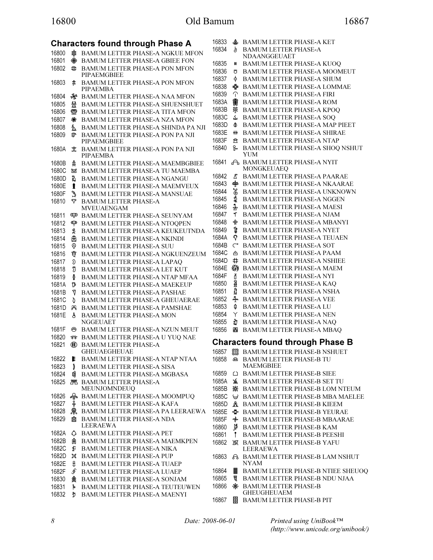|       |                | Characters found through Phase A                    | 168        |
|-------|----------------|-----------------------------------------------------|------------|
| 16800 | ✿              | <b>BAMUM LETTER PHASE-A NGKUE MFON</b>              | 168        |
| 16801 | ❀              | BAMUM LETTER PHASE-A GBIEE FON                      | 168        |
| 16802 | $\mathfrak{D}$ | <b>BAMUM LETTER PHASE-A PON MFON</b><br>PIPAEMGBIEE | 168        |
| 16803 | \$.            | <b>BAMUM LETTER PHASE-A PON MFON</b><br>PIPAEMBA    | 168<br>168 |
| 16804 | ₩              | <b>BAMUM LETTER PHASE-A NAA MFON</b>                | 168        |
| 16805 | 쓢              | <b>BAMUM LETTER PHASE-A SHUENSHUET</b>              | 168        |
| 16806 | ☎              | <b>BAMUM LETTER PHASE-A TITA MFON</b>               | 168        |
| 16807 | ₩              | BAMUM LETTER PHASE-A NZA MFON                       | 168        |
| 16808 | మ్             | BAMUM LETTER PHASE-A SHINDA PA NJI                  | 168        |
| 16809 | T              | BAMUM LETTER PHASE-A PON PA NJI<br>PIPAEMGBIEE      | 168<br>168 |
| 1680A | Û.             | BAMUM LETTER PHASE-A PON PA NJI<br>PIPAEMBA         | 168        |
| 1680B | 本              | BAMUM LETTER PHASE-A MAEMBGBIEE                     | 168        |
| 1680C | ₩              | BAMUM LETTER PHASE-A TU MAEMBA                      |            |
| 1680D | d              | <b>BAMUM LETTER PHASE-A NGANGU</b>                  | 168        |
| 1680E | ł              | <b>BAMUM LETTER PHASE-A MAEMVEUX</b>                | 168        |
| 1680F | L              | <b>BAMUM LETTER PHASE-A MANSUAE</b>                 | 168        |
| 16810 | ᢦ              | <b>BAMUM LETTER PHASE-A</b>                         | 168        |
|       |                | MVEUAENGAM                                          | 168<br>168 |
| 16811 | ඥා             | <b>BAMUM LETTER PHASE-A SEUNYAM</b>                 |            |
| 16812 | Ф              | BAMUM LETTER PHASE-A NTOQPEN                        | 168        |
| 16813 | ₩,             | <b>BAMUM LETTER PHASE-A KEUKEUTNDA</b>              | 168        |
| 16814 | ⊕              | <b>BAMUM LETTER PHASE-A NKINDI</b>                  | 168        |
| 16815 | Q              | <b>BAMUM LETTER PHASE-A SUU</b>                     | 168        |
| 16816 | Ÿ              | <b>BAMUM LETTER PHASE-A NGKUENZEUM</b>              | 168        |
| 16817 | δ              | <b>BAMUM LETTER PHASE-A LAPAO</b>                   | 168<br>168 |
| 16818 | งั             | <b>BAMUM LETTER PHASE-A LET KUT</b>                 |            |
| 16819 | ₿              | BAMUM LETTER PHASE-A NTAP MFAA                      | 168<br>168 |
| 1681A | ወ              | <b>BAMUM LETTER PHASE-A MAEKEUP</b>                 | 168        |
| 1681B | 7              | <b>BAMUM LETTER PHASE-A PASHAE</b>                  | 168        |
| 1681C | D              | <b>BAMUM LETTER PHASE-A GHEUAERAE</b>               | 168        |
| 1681D | ℛ              | <b>BAMUM LETTER PHASE-A PAMSHAE</b>                 | 168        |
| 1681E | ჭ              | <b>BAMUM LETTER PHASE-A MON</b><br><b>NGGEUAET</b>  | 168        |
| 1681F | ⊝              | <b>BAMUM LETTER PHASE-A NZUN MEUT</b>               | 168        |
| 16820 | -818-          | BAMUM LETTER PHASE-A U YUQ NAE                      | Cł         |
| 16821 | (€€            | <b>BAMUM LETTER PHASE-A</b><br><b>GHEUAEGHEUAE</b>  | 168        |
| 16822 | Е              | BAMUM LETTER PHASE-A NTAP NTAA                      | 168        |
| 16823 | į              | <b>BAMUM LETTER PHASE-A SISA</b>                    | 168        |
| 16824 | 鸣              | <b>BAMUM LETTER PHASE-A MGBASA</b>                  | 168        |
| 16825 |                | <b>PR BAMUM LETTER PHASE-A</b><br>MEUNJOMNDEUQ      | 168        |
| 16826 | ⋘              | <b>BAMUM LETTER PHASE-A MOOMPUQ</b>                 | 168        |
| 16827 | ቶ              | <b>BAMUM LETTER PHASE-A KAFA</b>                    | 168        |
| 16828 | ℛ              | BAMUM LETTER PHASE-A PA LEERAEWA                    | 168        |
| 16829 | Иħ             | <b>BAMUM LETTER PHASE-A NDA</b><br>LEERAEWA         | 168        |
| 1682A | ♦              | <b>BAMUM LETTER PHASE-A PET</b>                     | 168        |
| 1682B | 圉              | BAMUM LETTER PHASE-A MAEMKPEN                       | 168        |
| 1682C | ۶              | <b>BAMUM LETTER PHASE-A NIKA</b>                    | 168        |
| 1682D | ਖ਼             | <b>BAMUM LETTER PHASE-A PUP</b>                     | 168        |
| 1682E | f              | <b>BAMUM LETTER PHASE-A TUAEP</b>                   |            |
| 1682F | ∮              | <b>BAMUM LETTER PHASE-A LUAEP</b>                   | 168        |
| 16830 | 絫              | <b>BAMUM LETTER PHASE-A SONJAM</b>                  | 168        |
| 16831 | Å              | <b>BAMUM LETTER PHASE-A TEUTEUWEN</b>               | 168        |
| 16832 | Ð              | <b>BAMUM LETTER PHASE-A MAENYI</b>                  |            |
|       |                |                                                     | 168        |

| 16833 | ♣              | <b>BAMUM LETTER PHASE-A KET</b>                    |
|-------|----------------|----------------------------------------------------|
| 16834 | þ              | <b>BAMUM LETTER PHASE-A</b>                        |
|       |                | NDAANGGEUAET                                       |
| 16835 | #              | <b>BAMUM LETTER PHASE-A KUOQ</b>                   |
| 16836 | ෪              | <b>BAMUM LETTER PHASE-A MOOMEUT</b>                |
| 16837 | ∗              | <b>BAMUM LETTER PHASE-A SHUM</b>                   |
| 16838 | ⊕              | <b>BAMUM LETTER PHASE-A LOMMAE</b>                 |
| 16839 | T              | <b>BAMUM LETTER PHASE-A FIRI</b>                   |
| 1683A | 2              | <b>BAMUM LETTER PHASE-A ROM</b>                    |
| 1683B | 発              | <b>BAMUM LETTER PHASE-A KPOQ</b>                   |
| 1683C | ઽ              | <b>BAMUM LETTER PHASE-A SOQ</b>                    |
| 1683D | ◑              | <b>BAMUM LETTER PHASE-A MAP PIEET</b>              |
| 1683E | ₩              | <b>BAMUM LETTER PHASE-A SHIRAE</b>                 |
| 1683F | 贠              | <b>BAMUM LETTER PHASE-A NTAP</b>                   |
| 16840 | ዀ              | BAMUM LETTER PHASE-A SHOQ NSHUT<br>YUM             |
| 16841 |                | A BAMUM LETTER PHASE-A NYIT                        |
|       |                | MONGKEUAEQ                                         |
| 16842 | Δ              | <b>BAMUM LETTER PHASE-A PAARAE</b>                 |
| 16843 | 梺              | <b>BAMUM LETTER PHASE-A NKAARAE</b>                |
| 16844 | န              | <b>BAMUM LETTER PHASE-A UNKNOWN</b>                |
| 16845 | 【              | <b>BAMUM LETTER PHASE-A NGGEN</b>                  |
| 16846 | $\mathtt{\AA}$ | <b>BAMUM LETTER PHASE-A MAESI</b>                  |
| 16847 | T              | <b>BAMUM LETTER PHASE-A NJAM</b>                   |
| 16848 | ∯              | <b>BAMUM LETTER PHASE-A MBANYI</b>                 |
| 16849 | I              | <b>BAMUM LETTER PHASE-A NYET</b>                   |
| 1684A | Ŷ              | <b>BAMUM LETTER PHASE-A TEUAEN</b>                 |
| 1684B | $\mathsf{C}$   | <b>BAMUM LETTER PHASE-A SOT</b>                    |
| 1684C | 凸              | <b>BAMUM LETTER PHASE-A PAAM</b>                   |
| 1684D | #              | <b>BAMUM LETTER PHASE-A NSHIEE</b>                 |
| 1684E | ₩              | <b>BAMUM LETTER PHASE-A MAEM</b>                   |
| 1684F | ď              | <b>BAMUM LETTER PHASE-A NYI</b>                    |
| 16850 | â              | <b>BAMUM LETTER PHASE-A KAQ</b>                    |
| 16851 | ₫              | <b>BAMUM LETTER PHASE-A NSHA</b>                   |
| 16852 | 4              | <b>BAMUM LETTER PHASE-A VEE</b>                    |
| 16853 | Ф              | <b>BAMUM LETTER PHASE-A LU</b>                     |
| 16854 | Υ              | <b>BAMUM LETTER PHASE-A NEN</b>                    |
| 16855 | D              | <b>BAMUM LETTER PHASE-A NAQ</b>                    |
| 16856 | 囲              | <b>BAMUM LETTER PHASE-A MBAQ</b>                   |
|       |                |                                                    |
|       |                | <b>Characters found through Phase B</b>            |
|       |                | 16857 8 BAMUM LETTER PHASE-B NSHUET                |
| 16858 | ⋒              | <b>BAMUM LETTER PHASE-B TU</b><br><b>MAEMGBIEE</b> |
| 16859 | ▵              | <b>BAMUM LETTER PHASE-B SIEE</b>                   |
| 1685A | 糹              | <b>BAMUM LETTER PHASE-B SET TU</b>                 |
| 1685B | 承              | <b>BAMUM LETTER PHASE-B LOM NTEUM</b>              |
| 1685C | ⊌              | <b>BAMUM LETTER PHASE-B MBA MAELEE</b>             |
| 1685D | Å              | <b>BAMUM LETTER PHASE-B KIEEM</b>                  |
| 1685E | ⊕              | <b>BAMUM LETTER PHASE-B YEURAE</b>                 |
| 1685F | __             | <b>BAMUM LETTER PHASE-B MBAARAE</b>                |
| 16860 | 훳              | <b>BAMUM LETTER PHASE-B KAM</b>                    |
| 16861 | $\mathbf{r}$   | <b>BAMUM LETTER PHASE-B PEESHI</b>                 |
| 16862 | ΣЮ             | <b>BAMUM LETTER PHASE-B YAFU</b>                   |
|       |                | LEERAEWA                                           |
| 16863 | A              | <b>BAMUM LETTER PHASE-B LAM NSHUT</b>              |
|       |                | NYAM                                               |
| 16864 | 鬮              | <b>BAMUM LETTER PHASE-B NTIEE SHEUOQ</b>           |
| 16865 | 菖              | <b>BAMUM LETTER PHASE-B NDU NJAA</b>               |
| 16866 | ₩              | <b>BAMUM LETTER PHASE-B</b><br><b>GHEUGHEUAEM</b>  |
| 16867 | 闥              | <b>BAMUM LETTER PHASE-B PIT</b>                    |
|       |                |                                                    |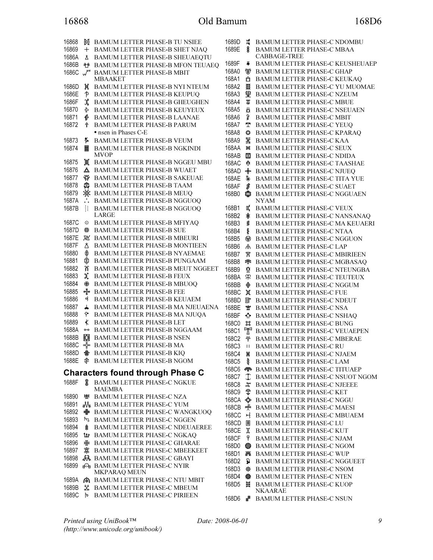# 16868 Old Bamum 168D6

16868 **网 BAMUM LETTER PHASE-B TU NSIEE** 16869 + BAMUM LETTER PHASE-B SHET NJAQ 1686A BAMUM LETTER PHASE-B SHEUAEQTU 1686B BAMUM LETTER PHASE-B MFON TEUAEQ 1686C U BAMUM LETTER PHASE-B MBIT MBAAKET 1686D 翼 BAMUM LETTER PHASE-B NYI NTEUM 1686E BAMUM LETTER PHASE-B KEUPUQ 1686F  $\frac{1}{26}$  BAMUM LETTER PHASE-B GHEUGHEN 16870  $\leq$  BAMUM LETTER PHASE-B KEUYEUX 16871 *I* BAMUM LETTER PHASE-B LAANAE 16872 BAMUM LETTER PHASE-B PARUM • nsen in Phases C-E 16873 BAMUM LETTER PHASE-B VEUM 16874 **B** BAMUM LETTER PHASE-B NGKINDI MVOP 16875 道 BAMUM LETTER PHASE-B NGGEU MBU 16876 A BAMUM LETTER PHASE-B WUAET 16877 登 BAMUM LETTER PHASE-B SAKEUAE 16878 **SAMUM LETTER PHASE-B TAAM** 16879 BAMUM LETTER PHASE-B MEUQ 1687A : BAMUM LETTER PHASE-B NGGUOQ 1687B **EXECUTED HEART PHASE-B NGGUOQ** LARGE 1687C 
S BAMUM LETTER PHASE-B MFIYAQ 1687D ※ BAMUM LETTER PHASE-B SUE **1687E N BAMUM LETTER PHASE-B MBEURI** 1687F  $\triangle$  BAMUM LETTER PHASE-B MONTIEEN 16880 BAMUM LETTER PHASE-B NYAEMAE 16881 韓 BAMUM LETTER PHASE-B PUNGAAM 16882 BAMUM LETTER PHASE-B MEUT NGGEET 16883 **X** BAMUM LETTER PHASE-B FEUX 16884 BAMUM LETTER PHASE-B MBUOQ 16885 **\*\*** BAMUM LETTER PHASE-B FEE 16886 BAMUM LETTER PHASE-B KEUAEM 16887 **& BAMUM LETTER PHASE-B MA NJEUAENA** 16888 BAMUM LETTER PHASE-B MA NJUQA 16889  $\parallel$  BAMUM LETTER PHASE-B LET 1688A <sup>oo</sup> BAMUM LETTER PHASE-B NGGAAM 1688B **SEE BAMUM LETTER PHASE-B NSEN** 1688C So BAMUM LETTER PHASE-B MA 1688D **金** BAMUM LETTER PHASE-B KIO 1688E BAMUM LETTER PHASE-B NGOM Characters found through Phase C 1688F BAMUM LETTER PHASE-C NGKUE MAEMBA 16890 ※ BAMUM LETTER PHASE-C NZA 16891 **M** BAMUM LETTER PHASE-C YUM 16892  $\frac{1}{2}$  BAMUM LETTER PHASE-C WANGKUOO 16893 **BAMUM LETTER PHASE-C NGGEN** 16894  $\triangleq$  BAMUM LETTER PHASE-C NDEUAEREE 16895 **LE** BAMUM LETTER PHASE-C NGKAO 16896 ※ BAMUM LETTER PHASE-C GHARAE 16897 BAMUM LETTER PHASE-C MBEEKEET 16898 **&** BAMUM LETTER PHASE-C GBAYI 16899 **BAMUM LETTER PHASE-C NYIR** MKPARAQ MEUN 1689A **A** BAMUM LETTER PHASE-C NTU MBIT 1689B  $\frac{1}{26}$  BAMUM LETTER PHASE-C MBEUM 1689C **b** BAMUM LETTER PHASE-C PIRIEEN

1689D  $\sharp$  BAMUM LETTER PHASE-C NDOMBU 1689E BAMUM LETTER PHASE-C MBAA CABBAGE-TREE 1689F BAMUM LETTER PHASE-C KEUSHEUAEP 168A0 **W** BAMUM LETTER PHASE-C GHAP **168A1 & BAMUM LETTER PHASE-C KEUKAQ** 168A2 BAMUM LETTER PHASE-C YU MUOMAE 168A3 SR BAMUM LETTER PHASE-C NZEUM 168A4  $\$ BAMUM LETTER PHASE-C MBUE 168A5 & BAMUM LETTER PHASE-C NSEUAEN 168A6 & BAMUM LETTER PHASE-C MBIT 168A7 T BAMUM LETTER PHASE-C YEUQ 168A8 BAMUM LETTER PHASE-C KPARAQ 168A9 罪 BAMUM LETTER PHASE-C KAA 168AA  $\#$  BAMUM LETTER PHASE-C SEUX 168AB **BAMUM LETTER PHASE-C NDIDA** 168AC 单 BAMUM LETTER PHASE-C TAASHAE 168AD  $\clubsuit$  BAMUM LETTER PHASE-C NJUEQ 168AE  $\frac{1}{2}$  BAMUM LETTER PHASE-C TITA YUE 168AF **\$** BAMUM LETTER PHASE-C SUAET 168B0 **S**BAMUM LETTER PHASE-C NGGUAEN NYAM 168B1 E BAMUM LETTER PHASE-C VEUX 168B2  $*$  BAMUM LETTER PHASE-C NANSANAO 168B3 BAMUM LETTER PHASE-C MA KEUAERI 168B4 BAMUM LETTER PHASE-C NTAA 168B5 BAMUM LETTER PHASE-C NGGUON 168B6 BAMUM LETTER PHASE-C LAP 168B7 BAMUM LETTER PHASE-C MBIRIEEN 168B8  $\blacktriangleright$  BAMUM LETTER PHASE-C MGBASAQ 168B9 BAMUM LETTER PHASE-C NTEUNGBA 168BA BAMUM LETTER PHASE-C TEUTEUX 168BB  $\textcircled{\tiny{\textcircled{\#}}}$  BAMUM LETTER PHASE-C NGGUM 168BC  $X$  BAMUM LETTER PHASE-C FUE 168BD **II**<sup>\*</sup> BAMUM LETTER PHASE-C NDEUT 168BE  $\mathcal{L}$  BAMUM LETTER PHASE-C NSA 168BF  $\lozenge$  BAMUM LETTER PHASE-C NSHAO 168C0 **E BAMUM LETTER PHASE-C BUNG**<br>168C1 F BAMUM LETTER PHASE-C VEUAI 168C1  $\mathbb{T}^1$  BAMUM LETTER PHASE-C VEUAEPEN<br>168C2  $\div$  BAMUM LETTER PHASE-C MBERAE BAMUM LETTER PHASE-C MBERAE 168C3 II BAMUM LETTER PHASE-C RU 168C4 **N** BAMUM LETTER PHASE-C NJAEM 168C5 **BAMUM LETTER PHASE-C LAM** 168C6 **<sup>S</sup>P** BAMUM LETTER PHASE-C TITUAEP 168C7 **T** BAMUM LETTER PHASE-C NSUOT N 168C7 BAMUM LETTER PHASE-C NSUOT NGOM 168C8  $\stackrel{\text{w}}{\text{\$}}$  BAMUM LETTER PHASE-C NJEEEE<br>168C9  $\stackrel{\text{m}}{\text{\$}}$  BAMUM LETTER PHASE-C KET BAMUM LETTER PHASE-C KET 168CA SAMUM LETTER PHASE-C NGGU<br>168CB  $\stackrel{\bullet}{\bullet}$  BAMUM LETTER PHASE-C MAES BAMUM LETTER PHASE-C MAESI 168CC → BAMUM LETTER PHASE-C MBUAEM 168CD **B** BAMUM LETTER PHASE-C LU 168CE X BAMUM LETTER PHASE-C KUT 168CF BAMUM LETTER PHASE-C NJAM 168D0 BAMUM LETTER PHASE-C NGOM 168D1 **F& BAMUM LETTER PHASE-C WUP** 168D2 & BAMUM LETTER PHASE-C NGGUEET 168D3  $\&$  BAMUM LETTER PHASE-C NSOM 168D4 ※ BAMUM LETTER PHASE-C NTEN 168D5 爵 BAMUM LETTER PHASE-C KUOP NKAARAE 168D6 **B** BAMUM LETTER PHASE-C NSUN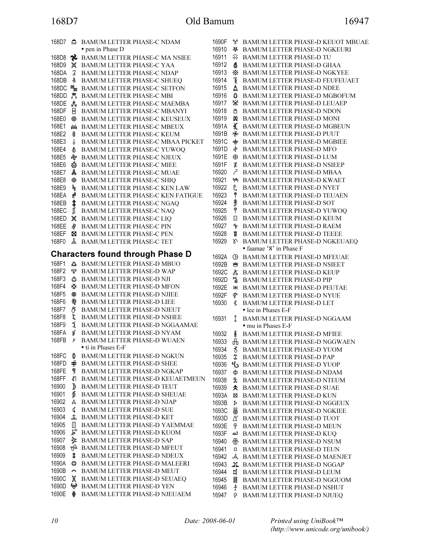# 168D7 Old Bamum 16947

PHASE-D KEUOT MBUAE PHASE-D NGKEURI PHASE-D TU PHASE-D GHAA PHASE-D NGKYEE PHASE-D FEUFEUAET PHASE-D NDEE PHASE-D MGBOFUM

|                |                         | 168D7 A BAMUM LETTER PHASE-C NDAM          | 1690F |                      | <b>&amp; BAMUM LETTER PHASE-D KEUOT MBU</b>                          |
|----------------|-------------------------|--------------------------------------------|-------|----------------------|----------------------------------------------------------------------|
|                |                         | • pen in Phase D                           | 16910 |                      | <b># BAMUM LETTER PHASE-D NGKEURI</b>                                |
| 168D8          |                         | RE BAMUM LETTER PHASE-C MA NSIEE           | 16911 |                      | ◎ BAMUM LETTER PHASE-D TU                                            |
| 168D9          |                         | 眞 BAMUM LETTER PHASE-C YAA                 | 16912 | 泰                    | BAMUM LETTER PHASE-D GHAA                                            |
| 168DA          |                         | 3 BAMUM LETTER PHASE-C NDAP                | 16913 |                      | ※ BAMUM LETTER PHASE-D NGKYEE                                        |
| 168DB          |                         | <b>&amp; BAMUM LETTER PHASE-C SHUEQ</b>    | 16914 | 僵                    | BAMUM LETTER PHASE-D FEUFEUAET                                       |
|                |                         | 168DC <b>%</b> BAMUM LETTER PHASE-C SETFON | 16915 | Å                    | BAMUM LETTER PHASE-D NDEE                                            |
|                |                         | 168DD & BAMUM LETTER PHASE-C MBI           | 16916 |                      | <b><math>\bullet</math> BAMUM LETTER PHASE-D MGBOFUM</b>             |
|                |                         | 168DE & BAMUM LETTER PHASE-C MAEMBA        | 16917 |                      | ※ BAMUM LETTER PHASE-D LEUAEP                                        |
| 168DF          |                         | <b>E</b> BAMUM LETTER PHASE-C MBANYI       | 16918 | ∆                    | <b>BAMUM LETTER PHASE-D NDON</b>                                     |
| 168E0          |                         | <b>@ BAMUM LETTER PHASE-C KEUSEUX</b>      | 16919 | ∞⊻                   | BAMUM LETTER PHASE-D MONI                                            |
| 168E1          |                         | ₩ BAMUM LETTER PHASE-C MBEUX               | 1691A |                      | <b>K BAMUM LETTER PHASE-D MGBEUN</b>                                 |
| 168E2          | \$                      | <b>BAMUM LETTER PHASE-C KEUM</b>           | 1691B |                      | <b>NEXT BAMUM LETTER PHASE-D PUUT</b>                                |
| 168E3          | $\sqrt{2}$              | BAMUM LETTER PHASE-C MBAA PICKET           | 1691C |                      | <b><math>\phi</math></b> BAMUM LETTER PHASE-D MGBIEE                 |
| 168E4          |                         | <b>S</b> BAMUM LETTER PHASE-C YUWOQ        | 1691D |                      | † BAMUM LETTER PHASE-D MFO                                           |
| 168E5          |                         | <b>&amp; BAMUM LETTER PHASE-C NJEUX</b>    | 1691E |                      | <b><math>\oplus</math></b> BAMUM LETTER PHASE-D LUM                  |
| 168E6          |                         | <b>&amp;BAMUM LETTER PHASE-C MIEE</b>      | 1691F |                      | <b><i>\$</i></b> BAMUM LETTER PHASE-D NSIEEP                         |
| 168E7          |                         | <b>A</b> BAMUM LETTER PHASE-C MUAE         | 16920 |                      | P BAMUM LETTER PHASE-D MBAA                                          |
|                |                         |                                            | 16921 |                      |                                                                      |
| 168E8<br>168E9 |                         | <b>A</b> BAMUM LETTER PHASE-C SHIQ         | 16922 |                      | <sup>1</sup> BAMUM LETTER PHASE-D KWAET<br>BAMUM LETTER PHASE-D NYET |
|                | 可                       | BAMUM LETTER PHASE-C KEN LAW               | 16923 | Ē.                   |                                                                      |
| 168EA          | 冑                       | BAMUM LETTER PHASE-C KEN FATIGUE           |       |                      | BAMUM LETTER PHASE-D TEUAEN                                          |
| 168EB          | ↨                       | BAMUM LETTER PHASE-C NGAQ                  | 16924 | 秉                    | <b>BAMUM LETTER PHASE-D SOT</b>                                      |
| 168EC          |                         | <b>\$</b> BAMUM LETTER PHASE-C NAQ         | 16925 | ို                   | <b>BAMUM LETTER PHASE-D YUWOQ</b>                                    |
| 168ED          |                         | 眞 BAMUM LETTER PHASE-C LIQ                 | 16926 | o                    | <b>BAMUM LETTER PHASE-D KEUM</b>                                     |
| 168EE          |                         | <b>\$</b> BAMUM LETTER PHASE-C PIN         | 16927 |                      | <b>EXAMUM LETTER PHASE-D RAEM</b>                                    |
| 168EF          |                         | <b>E</b> BAMUM LETTER PHASE-C PEN          | 16928 | 鼑                    | <b>BAMUM LETTER PHASE-D TEEEE</b>                                    |
| 168F0          |                         | <b>&amp; BAMUM LETTER PHASE-C TET</b>      | 16929 |                      | <b>S BAMUM LETTER PHASE-D NGKEUAEQ</b>                               |
|                |                         | <b>Characters found through Phase D</b>    |       |                      | • faamae '8' in Phase F                                              |
|                |                         |                                            | 1692A |                      | <b>E BAMUM LETTER PHASE-D MFEUAE</b>                                 |
| 168F1          |                         | <b>BAMUM LETTER PHASE-D MBUO</b>           | 1692B |                      | <b>&amp; BAMUM LETTER PHASE-D NSIEET</b>                             |
| 168F2          |                         | <b>P</b> BAMUM LETTER PHASE-D WAP          | 1692C |                      | ☆ BAMUM LETTER PHASE-D KEUP                                          |
| 168F3          |                         | ☆ BAMUM LETTER PHASE-D NJI                 | 1692D |                      | BAMUM LETTER PHASE-D PIP                                             |
| 168F4          |                         | <b>※ BAMUM LETTER PHASE-D MFON</b>         | 1692E | Ж                    | <b>BAMUM LETTER PHASE-D PEUTAE</b>                                   |
| 168F5          |                         | <b>® BAMUM LETTER PHASE-D NJIEE</b>        | 1692F | <u>ሞ</u>             | <b>BAMUM LETTER PHASE-D NYUE</b>                                     |
| 168F6          | කු                      | <b>BAMUM LETTER PHASE-D LIEE</b>           | 16930 | ⊀                    | BAMUM LETTER PHASE-D LET                                             |
| 168F7          | Œ                       | BAMUM LETTER PHASE-D NJEUT                 |       |                      | • lee in Phases E-F                                                  |
| 168F8          | ξ                       | BAMUM LETTER PHASE-D NSHEE                 | 16931 |                      | BAMUM LETTER PHASE-D NGGAAM                                          |
| 168F9          |                         | <b>1</b> BAMUM LETTER PHASE-D NGGAAMAE     |       |                      | • mu in Phases E-F                                                   |
| 168FA          | ध्र                     | BAMUM LETTER PHASE-D NYAM                  | 16932 | 条<br>6               | <b>BAMUM LETTER PHASE-D MFIEE</b>                                    |
| 168FB          | $\mu$                   | BAMUM LETTER PHASE-D WUAEN                 | 16933 |                      | <b>H</b> BAMUM LETTER PHASE-D NGGWAEN                                |
|                |                         | • ti in Phases E-F                         | 16934 | 8                    | <b>BAMUM LETTER PHASE-D YUOM</b>                                     |
| 168FC          | ₫                       | <b>BAMUM LETTER PHASE-D NGKUN</b>          | 16935 |                      | <b>\$</b> BAMUM LETTER PHASE-D PAP                                   |
|                |                         | 168FD $\oplus$ BAMUM LETTER PHASE-D SHEE   | 16936 |                      | BAMUM LETTER PHASE-D YUOP                                            |
| 168FE          |                         | <b>9 BAMUM LETTER PHASE-D NGKAP</b>        | 16937 |                      | <b>令 BAMUM LETTER PHASE-D NDAM</b>                                   |
| 168FF          |                         | ₹ BAMUM LETTER PHASE-D KEUAETMEUN          | 16938 | ≵                    | BAMUM LETTER PHASE-D NTEUM                                           |
| 16900          | ♪                       | <b>BAMUM LETTER PHASE-D TEUT</b>           | 16939 |                      | <b><math>\triangle</math></b> BAMUM LETTER PHASE-D SUAE              |
| 16901          | ₫                       | <b>BAMUM LETTER PHASE-D SHEUAE</b>         | 1693A | ⊠                    | BAMUM LETTER PHASE-D KUN                                             |
| 16902          |                         | A BAMUM LETTER PHASE-D NJAP                | 1693B | ŀ                    | BAMUM LETTER PHASE-D NGGEUX                                          |
| 16903          |                         | <b>G</b> BAMUM LETTER PHASE-D SUE          | 1693C | 6                    | BAMUM LETTER PHASE-D NGKIEE                                          |
| 16904          |                         | <b>2. BAMUM LETTER PHASE-D KET</b>         | 1693D |                      | ∆ BAMUM LETTER PHASE-D TUOT                                          |
| 16905          | $\mathbb{E}$            | <b>BAMUM LETTER PHASE-D YAEMMAE</b>        | 1693E |                      | <b>&amp; BAMUM LETTER PHASE-D MEUN</b>                               |
| 16906          |                         | ₽ BAMUM LETTER PHASE-D KUOM                | 1693F |                      | <b>A BAMUM LETTER PHASE-D KUQ</b>                                    |
| 16907          |                         | <b>&amp; BAMUM LETTER PHASE-D SAP</b>      | 16940 |                      | <b>⊕ BAMUM LETTER PHASE-D NSUM</b>                                   |
| 16908          |                         | BAMUM LETTER PHASE-D MFEUT                 | 16941 | о                    | BAMUM LETTER PHASE-D TEUN                                            |
| 16909          |                         | <b>\$</b> BAMUM LETTER PHASE-D NDEUX       | 16942 |                      | & BAMUM LETTER PHASE-D MAENJET                                       |
| 1690A          | O                       | BAMUM LETTER PHASE-D MALEERI               | 16943 |                      | <b>AL BAMUM LETTER PHASE-D NGGAP</b>                                 |
| 1690B          | $\widehat{\phantom{a}}$ | <b>BAMUM LETTER PHASE-D MEUT</b>           | 16944 |                      | <b>EX BAMUM LETTER PHASE-D LEUM</b>                                  |
| 1690C          | X                       | <b>BAMUM LETTER PHASE-D SEUAEQ</b>         | 16945 | 冒                    | BAMUM LETTER PHASE-D NGGUOM                                          |
| 1690D          |                         | BAMUM LETTER PHASE-D YEN                   | 16946 | $\frac{1}{\epsilon}$ | BAMUM LETTER PHASE-D NSHUT                                           |
| 1690E          |                         | BAMUM LETTER PHASE-D NJEUAEM               | 16947 | ᠲ                    | <b>BAMUM LETTER PHASE-D NJUEQ</b>                                    |
|                |                         |                                            |       |                      |                                                                      |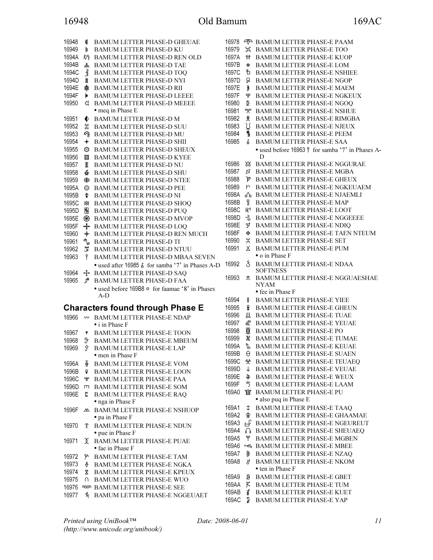# 16948 Old Bamum 169AC

| 16948   | €              | <b>BAMUM LETTER PHASE-D GHEUAE</b>               |
|---------|----------------|--------------------------------------------------|
| 16949   | 爹              | <b>BAMUM LETTER PHASE-D KU</b>                   |
| 1694A   |                |                                                  |
|         | 狝              | <b>BAMUM LETTER PHASE-D REN OLD</b>              |
| 1694B   | ዹ              | <b>BAMUM LETTER PHASE-D TAE</b>                  |
| 1694C   | €              | <b>BAMUM LETTER PHASE-D TOO</b>                  |
| 1694D   | 숲              | <b>BAMUM LETTER PHASE-D NYI</b>                  |
| 1694E   | \$             | <b>BAMUM LETTER PHASE-D RII</b>                  |
| 1694F   | Þ              | <b>BAMUM LETTER PHASE-D LEEEE</b>                |
| 16950   | ଝ              | <b>BAMUM LETTER PHASE-D MEEEE</b>                |
|         |                | • meq in Phase E                                 |
| 16951   | ♦              | <b>BAMUM LETTER PHASE-D M</b>                    |
| 16952   | ដ              | <b>BAMUM LETTER PHASE-D SUU</b>                  |
| 16953   | ري             | <b>BAMUM LETTER PHASE-D MU</b>                   |
|         |                |                                                  |
| 16954   | $\ddag$        | <b>BAMUM LETTER PHASE-D SHII</b>                 |
| 16955   | ☺              | <b>BAMUM LETTER PHASE-D SHEUX</b>                |
| 16956   | 噩              | <b>BAMUM LETTER PHASE-D KYEE</b>                 |
| 16957   | ¥              | <b>BAMUM LETTER PHASE-D NU</b>                   |
| 16958   | 뾱              | <b>BAMUM LETTER PHASE-D SHU</b>                  |
| 16959   | ⊕              | <b>BAMUM LETTER PHASE-D NTEE</b>                 |
| 1695A   | $\circledcirc$ | <b>BAMUM LETTER PHASE-D PEE</b>                  |
| 1695B   | \$             | <b>BAMUM LETTER PHASE-D NI</b>                   |
| 1695C   | 焱              | <b>BAMUM LETTER PHASE-D SHOQ</b>                 |
| 1695D   | Ñ              | <b>BAMUM LETTER PHASE-D PUQ</b>                  |
| 1695E   | ⊛              | <b>BAMUM LETTER PHASE-D MVOP</b>                 |
|         |                |                                                  |
| 1695F   | *∲*            | <b>BAMUM LETTER PHASE-D LOQ</b>                  |
| 16960   | $+$            | <b>BAMUM LETTER PHASE-D REN MUCH</b>             |
| 16961   | ∩ ⊍            | <b>BAMUM LETTER PHASE-D TI</b>                   |
| 16962   | J              | <b>BAMUM LETTER PHASE-D NTUU</b>                 |
| 16963   | የ              | <b>BAMUM LETTER PHASE-D MBAA SEVEN</b>           |
|         |                | • used after 16985 & for samba '7' in Phases A-D |
| 16964   | ⊶ู้∙           | <b>BAMUM LETTER PHASE-D SAQ</b>                  |
| 16965   | °،             | <b>BAMUM LETTER PHASE-D FAA</b>                  |
|         |                | • used before 169B8 o for faamae '8' in Phases   |
|         |                | $A-D$                                            |
|         |                | <b>Characters found through Phase E</b>          |
| 16966 w |                | <b>BAMUM LETTER PHASE-E NDAP</b>                 |
|         |                | • i in Phase F                                   |
|         |                |                                                  |
| 16967   | Ψ              | <b>BAMUM LETTER PHASE-E TOON</b>                 |
| 16968   | 9              | <b>BAMUM LETTER PHASE-E MBEUM</b>                |
| 16969   | ŷ              | <b>BAMUM LETTER PHASE-E LAP</b>                  |
|         |                | • men in Phase F                                 |
| 1696A   | ቑ              | <b>BAMUM LETTER PHASE-E VOM</b>                  |
| 1696B   | ♀              | <b>BAMUM LETTER PHASE-E LOON</b>                 |
| 1696C   | ₩              | BAMUM LETTER PHASE-E PAA                         |
| 1696D   | m              | <b>BAMUM LETTER PHASE-E SOM</b>                  |
| 1696E   | й              | <b>BAMUM LETTER PHASE-E RAQ</b>                  |
|         |                | • nga in Phase F                                 |
|         |                |                                                  |
| 1696F   | w              | <b>BAMUM LETTER PHASE-E NSHUOP</b>               |
|         |                | • pa in Phase F                                  |
| 16970   | E              | <b>BAMUM LETTER PHASE-E NDUN</b>                 |
|         |                | • pue in Phase F                                 |
| 16971   | χ              | <b>BAMUM LETTER PHASE-E PUAE</b>                 |
|         |                | • fae in Phase F                                 |
| 16972   | ሦ              | BAMUM LETTER PHASE-E TAM                         |
| 16973   | ♣              | <b>BAMUM LETTER PHASE-E NGKA</b>                 |
| 16974   | Ϋ              | <b>BAMUM LETTER PHASE-E KPEUX</b>                |
| 16975   | ∩              | <b>BAMUM LETTER PHASE-E WUO</b>                  |
| 16976   |                | ≈ BAMUM LETTER PHASE-E SEE                       |
|         |                |                                                  |

16977 BAMUM LETTER PHASE-E NGGEUAET

|       |                          | 16978 <sup>o</sup> BAMUM LETTER PHASE-E PAAM     |
|-------|--------------------------|--------------------------------------------------|
| 16979 | ਸ                        | <b>BAMUM LETTER PHASE-E TOO</b>                  |
| 1697A | 竹                        | <b>BAMUM LETTER PHASE-E KUOP</b>                 |
|       |                          |                                                  |
| 1697B | $\ast$                   | <b>BAMUM LETTER PHASE-E LOM</b>                  |
| 1697C | ზ                        | <b>BAMUM LETTER PHASE-E NSHIEE</b>               |
| 1697D | R                        | <b>BAMUM LETTER PHASE-E NGOP</b>                 |
| 1697E | ٷ                        | <b>BAMUM LETTER PHASE-E MAEM</b>                 |
| 1697F | Ŧ                        | <b>BAMUM LETTER PHASE-E NGKEUX</b>               |
| 16980 | Σ                        | <b>BAMUM LETTER PHASE-E NGOQ</b>                 |
| 16981 | ิ่∞ุ                     | <b>BAMUM LETTER PHASE-E NSHUE</b>                |
| 16982 | 变                        | <b>BAMUM LETTER PHASE-E RIMGBA</b>               |
| 16983 | ¥                        | <b>BAMUM LETTER PHASE-E NJEUX</b>                |
| 16984 | 贵                        | <b>BAMUM LETTER PHASE-E PEEM</b>                 |
| 16985 |                          | <b>BAMUM LETTER PHASE-E SAA</b>                  |
|       | Ĵ,                       |                                                  |
|       |                          | • used before 16963 { for samba '7' in Phases A- |
|       |                          | D                                                |
| 16986 | ୪୪                       | <b>BAMUM LETTER PHASE-E NGGURAE</b>              |
| 16987 | ΩŬ                       | <b>BAMUM LETTER PHASE-E MGBA</b>                 |
| 16988 | Þ                        | <b>BAMUM LETTER PHASE-E GHEUX</b>                |
| 16989 | r                        | <b>BAMUM LETTER PHASE-E NGKEUAEM</b>             |
| 1698A | ক                        | <b>BAMUM LETTER PHASE-E NJAEMLI</b>              |
| 1698B | ၜၟ                       | <b>BAMUM LETTER PHASE-E MAP</b>                  |
| 1698C | КГ                       | <b>BAMUM LETTER PHASE-E LOOT</b>                 |
| 1698D | ન્ત્ર,                   | <b>BAMUM LETTER PHASE-E NGGEEEE</b>              |
| 1698E | Ψ                        | <b>BAMUM LETTER PHASE-E NDIQ</b>                 |
| 1698F | ♦                        | BAMUM LETTER PHASE-E TAEN NTEUM                  |
|       |                          |                                                  |
| 16990 | 봄.                       | <b>BAMUM LETTER PHASE-E SET</b>                  |
| 16991 | Χ                        | <b>BAMUM LETTER PHASE-E PUM</b>                  |
|       |                          | • o in Phase F                                   |
| 16992 | క                        | BAMUM LETTER PHASE-E NDAA                        |
|       |                          | <b>SOFTNESS</b>                                  |
| 16993 | л                        | <b>BAMUM LETTER PHASE-E NGGUAESHAE</b>           |
|       |                          | NYAM                                             |
|       |                          | • fee in Phase F                                 |
| 16994 | 홋                        | <b>BAMUM LETTER PHASE-E YIEE</b>                 |
| 16995 | ¥                        | <b>BAMUM LETTER PHASE-E GHEUN</b>                |
| 16996 | 貉                        | <b>BAMUM LETTER PHASE-E TUAE</b>                 |
| 16997 | ₫                        | <b>BAMUM LETTER PHASE-E YEUAE</b>                |
| 16998 | ı                        | <b>BAMUM LETTER PHASE-E PO</b>                   |
| 16999 | X                        | <b>BAMUM LETTER PHASE-E TUMAE</b>                |
| 1699A | ᡶ,                       | <b>BAMUM LETTER PHASE-E KEUAE</b>                |
| 1699B | θ                        | <b>BAMUM LETTER PHASE-E SUAEN</b>                |
| 1699C | ᢢ                        | <b>BAMUM LETTER PHASE-E TEUAEQ</b>               |
| 1699D | ↓                        | <b>BAMUM LETTER PHASE-E VEUAE</b>                |
|       |                          |                                                  |
| 1699E | ቆ                        | <b>BAMUM LETTER PHASE-E WEUX</b>                 |
| 1699F | J                        | <b>BAMUM LETTER PHASE-E LAAM</b>                 |
| 169A0 | <u> ป</u> ่              | BAMUM LETTER PHASE-E PU                          |
|       |                          | • also puq in Phase E                            |
| 169A1 | ⇕                        | <b>BAMUM LETTER PHASE-E TAAQ</b>                 |
| 169A2 | ⇞                        | BAMUM LETTER PHASE-E GHAAMAE                     |
| 169A3 | பி                       | <b>BAMUM LETTER PHASE-E NGEUREUT</b>             |
| 169A4 | ↷                        | <b>BAMUM LETTER PHASE-E SHEUAEQ</b>              |
| 169A5 | ۹p                       | <b>BAMUM LETTER PHASE-E MGBEN</b>                |
| 169A6 | $\overline{\mathcal{H}}$ | <b>BAMUM LETTER PHASE-E MBEE</b>                 |
| 169A7 | 8                        | <b>BAMUM LETTER PHASE-E NZAQ</b>                 |
| 169A8 | ዳ                        | <b>BAMUM LETTER PHASE-E NKOM</b>                 |
|       |                          | • ten in Phase F                                 |
| 169A9 |                          | <b>BAMUM LETTER PHASE-E GBET</b>                 |
|       | 8                        |                                                  |
| 169AA | K                        | <b>BAMUM LETTER PHASE-E TUM</b>                  |
| 169AB | វ                        | <b>BAMUM LETTER PHASE-E KUET</b>                 |

169AC & BAMUM LETTER PHASE-E YAP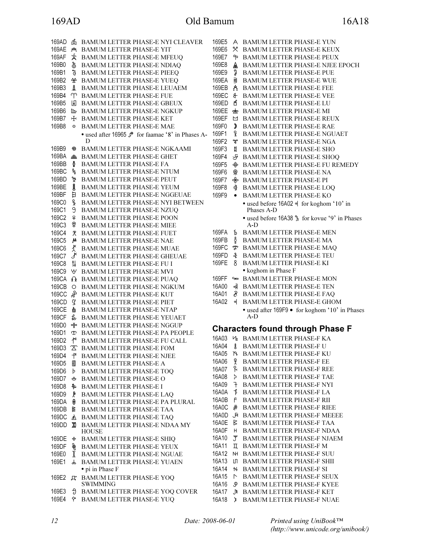169E5 BAMUM LETTER PHASE-E YUN 169E6 BAMUM LETTER PHASE-E KEUX 169E7 P BAMUM LETTER PHASE-E PEUX<br>169E8 A BAMUM LETTER PHASE-E NJEE BAMUM LETTER PHASE-E NJEE EPOCH 169E9 & BAMUM LETTER PHASE-E PUE 169EA § BAMUM LETTER PHASE-E WUE 169EB A BAMUM LETTER PHASE-E FEE 169EC BAMUM LETTER PHASE-E VEE 169ED BAMUM LETTER PHASE-E LU 169EE **\*** BAMUM LETTER PHASE-E MI 169EF BAMUM LETTER PHASE-E REUX 169F0 BAMUM LETTER PHASE-E RAE 169F1 BAMUM LETTER PHASE-E NGUAET 169F2 **\*** BAMUM LETTER PHASE-E NGA 169F3 BAMUM LETTER PHASE-E SHO 169F4 **F** BAMUM LETTER PHASE-E SHOO 169F5 BAMUM LETTER PHASE-E FU REMEDY 169F6 BAMUM LETTER PHASE-E NA 169F7  $\bigoplus$  BAMUM LETTER PHASE-E PI 169F8 BAMUM LETTER PHASE-E LOQ 169F9 BAMUM LETTER PHASE-E KO • used before 16A02 of for koghom '10' in Phases A-D • used before 16A38  $\frac{1}{2}$  for kovue '9' in Phases A-D 169FA **b** BAMUM LETTER PHASE-E MEN 169FB BAMUM LETTER PHASE-E MA 169FC  $*$  BAMUM LETTER PHASE-E MAQ 169FD & BAMUM LETTER PHASE-E TEU 169FE BAMUM LETTER PHASE-E KI • koghom in Phase F 169FF  $\infty$  BAMUM LETTER PHASE-E MON 16A00 ન BAMUM LETTER PHASE-E TEN 16A01 & BAMUM LETTER PHASE-E FAQ 16A02 BAMUM LETTER PHASE-E GHOM • used after 169F9 • for koghom '10' in Phases A-D Characters found through Phase F 16A03 VE BAMUM LETTER PHASE-F KA 16A04  $\frac{1}{5}$  BAMUM LETTER PHASE-F U 16A05 BAMUM LETTER PHASE-F KU 16A06 % BAMUM LETTER PHASE-F EE<br>16A07 % BAMUM LETTER PHASE-F RE 16A07 & BAMUM LETTER PHASE-F REE<br>16A08 > BAMUM LETTER PHASE-F TAE **5** BAMUM LETTER PHASE-F TAE<br> **16** BAMUM LETTER PHASE-F NYI 16A09 <sup>7</sup> BAMUM LETTER PHASE-F NYI<br>16A0A <sup>1</sup> BAMUM LETTER PHASE-F LA BAMUM LETTER PHASE-F LA 16A0B BAMUM LETTER PHASE-F RII BAMUM LETTER PHASE-F RIEE 16A0D BAMUM LETTER PHASE-F MEEEE 16A0E BAMUM LETTER PHASE-F TAA 16A0F BAMUM LETTER PHASE-F NDAA 16A10 BAMUM LETTER PHASE-F NJAEM 16A11 BAMUM LETTER PHASE-F M 16A12 NH BAMUM LETTER PHASE-F SUU 16A13 LI BAMUM LETTER PHASE-F SHII 16A14 BAMUM LETTER PHASE-F SI 16A15 **NUMBED BAMUM LETTER PHASE-F SEUX** 16A16 BAMUM LETTER PHASE-F KYEE 16A17 BAMUM LETTER PHASE-F KET 16A18 > BAMUM LETTER PHASE-F NUAE 169AD **di** BAMUM LETTER PHASE-E NYI CLEAVER 169AE BAMUM LETTER PHASE-E YIT 169AF 太 BAMUM LETTER PHASE-E MFEUQ 169B0 BAMUM LETTER PHASE-E NDIAQ 169B1 & BAMUM LETTER PHASE-E PIEEQ 169B2 BAMUM LETTER PHASE-E YUEQ 169B3 BAMUM LETTER PHASE-E LEUAEM 169B4 <sup>T</sup> BAMUM LETTER PHASE-E FUE 169B5 **B** BAMUM LETTER PHASE-E GBEUX 169B6 **ID BAMUM LETTER PHASE-E NGKUP** 169B7  $\cdot$  BAMUM LETTER PHASE-E KET 169B8 BAMUM LETTER PHASE-E MAE • used after 16965  $\sqrt{\ }$  for faamae '8' in Phases A-D 169B9 BAMUM LETTER PHASE-E NGKAAMI 169BA  $\triangleq$  BAMUM LETTER PHASE-E GHET 169BB BAMUM LETTER PHASE-E FA 169BC & BAMUM LETTER PHASE-E NTUM 169BD & BAMUM LETTER PHASE-E PEUT 169BE BAMUM LETTER PHASE-E YEUM 169BF 日 BAMUM LETTER PHASE-E NGGEUAE 169C0 BAMUM LETTER PHASE-E NYI BETWEEN 169C1 BAMUM LETTER PHASE-E NZUQ 169C2 BAMUM LETTER PHASE-E POON 169C3 BAMUM LETTER PHASE-E MIEE 169C4 BAMUM LETTER PHASE-E FUET 169C5 **M** BAMUM LETTER PHASE-E NAE 169C6  $X$  BAMUM LETTER PHASE-E MUAE 169C7  $\hat{J}$  BAMUM LETTER PHASE-E GHEUAE 169C8 BAMUM LETTER PHASE-E FU I 169C9 BAMUM LETTER PHASE-E MVI 169CA  $\Omega$  BAMUM LETTER PHASE-E PUAQ 169CB BAMUM LETTER PHASE-E NGKUM 169CC & BAMUM LETTER PHASE-E KUT 169CD BAMUM LETTER PHASE-E PIET 169CE & BAMUM LETTER PHASE-E NTAP 169CF & BAMUM LETTER PHASE-E YEUAET 169D0  $\&$  BAMUM LETTER PHASE-E NGGUP 169D1  $\Phi$  BAMUM LETTER PHASE-E PA PEOPLE 169D2 BAMUM LETTER PHASE-E FU CALL 169D3 BAMUM LETTER PHASE-E FOM 169D4  **P** BAMUM LETTER PHASE-E NJEE 169D5 **B** BAMUM LETTER PHASE-E A 169D6 BAMUM LETTER PHASE-E TOQ 169D7 & BAMUM LETTER PHASE-E O 169D8 & BAMUM LETTER PHASE-E I 169D9 P BAMUM LETTER PHASE-E LAO 169DA BAMUM LETTER PHASE-E PA PLURAL 169DB BAMUM LETTER PHASE-E TAA 169DC **A** BAMUM LETTER PHASE-E TAQ 169DD **E** BAMUM LETTER PHASE-E NDAA MY **HOUSE** 169DE BAMUM LETTER PHASE-E SHIQ 169DF  $\&$  BAMUM LETTER PHASE-E YEUX 169E0 BAMUM LETTER PHASE-E NGUAE 169E1 BAMUM LETTER PHASE-E YUAEN • pi in Phase F 169E2  $\uparrow$  BAMUM LETTER PHASE-E YOQ SWIMMING 169E3 BAMUM LETTER PHASE-E YOQ COVER 169E4 BAMUM LETTER PHASE-E YUQ

Printed using UniBook™ (http://www.unicode.org/unibook/)